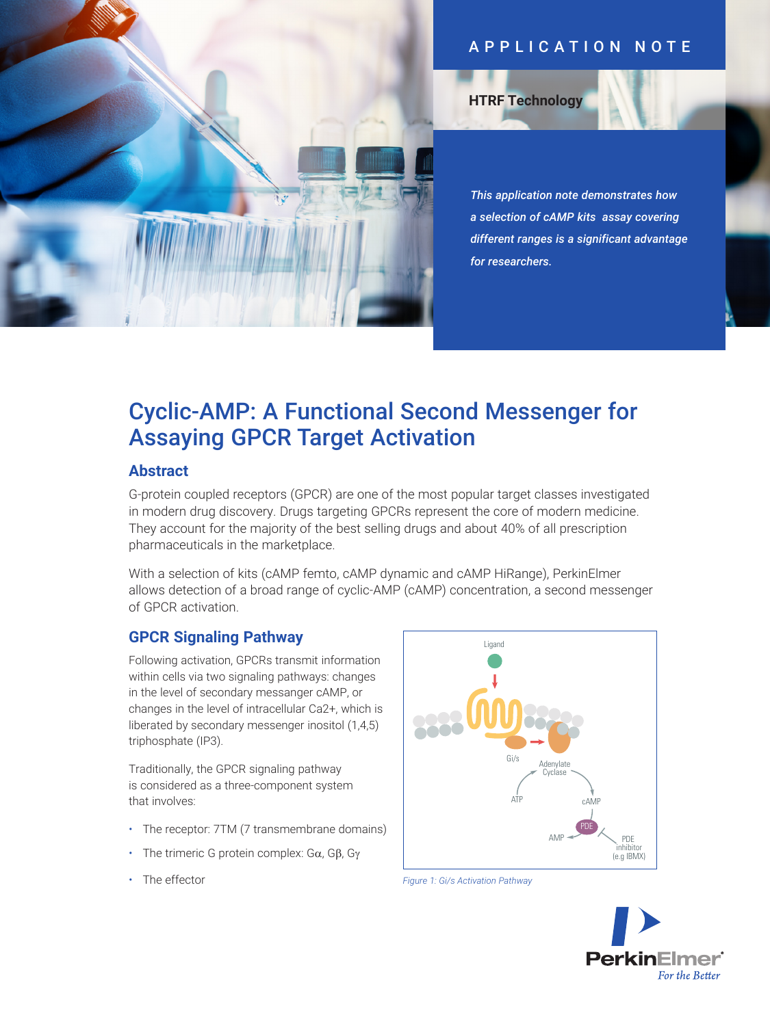## APPLICATION NOTE

**HTRF Technology**

*This application note demonstrates how a selection of cAMP kits assay covering different ranges is a significant advantage for researchers.*

# Cyclic-AMP: A Functional Second Messenger for Assaying GPCR Target Activation

## **Abstract**

G-protein coupled receptors (GPCR) are one of the most popular target classes investigated in modern drug discovery. Drugs targeting GPCRs represent the core of modern medicine. They account for the majority of the best selling drugs and about 40% of all prescription pharmaceuticals in the marketplace.

With a selection of kits (cAMP femto, cAMP dynamic and cAMP HiRange), PerkinElmer allows detection of a broad range of cyclic-AMP (cAMP) concentration, a second messenger of GPCR activation.

## **GPCR Signaling Pathway**

Following activation, GPCRs transmit information within cells via two signaling pathways: changes in the level of secondary messanger cAMP, or changes in the level of intracellular Ca2+, which is liberated by secondary messenger inositol (1,4,5) triphosphate (IP3).

Traditionally, the GPCR signaling pathway is considered as a three-component system that involves:

- The receptor: 7TM (7 transmembrane domains)
- The trimeric G protein complex:  $G\alpha$ ,  $G\beta$ ,  $G\gamma$
- The effector



*Figure 1: Gi/s Activation Pathway*

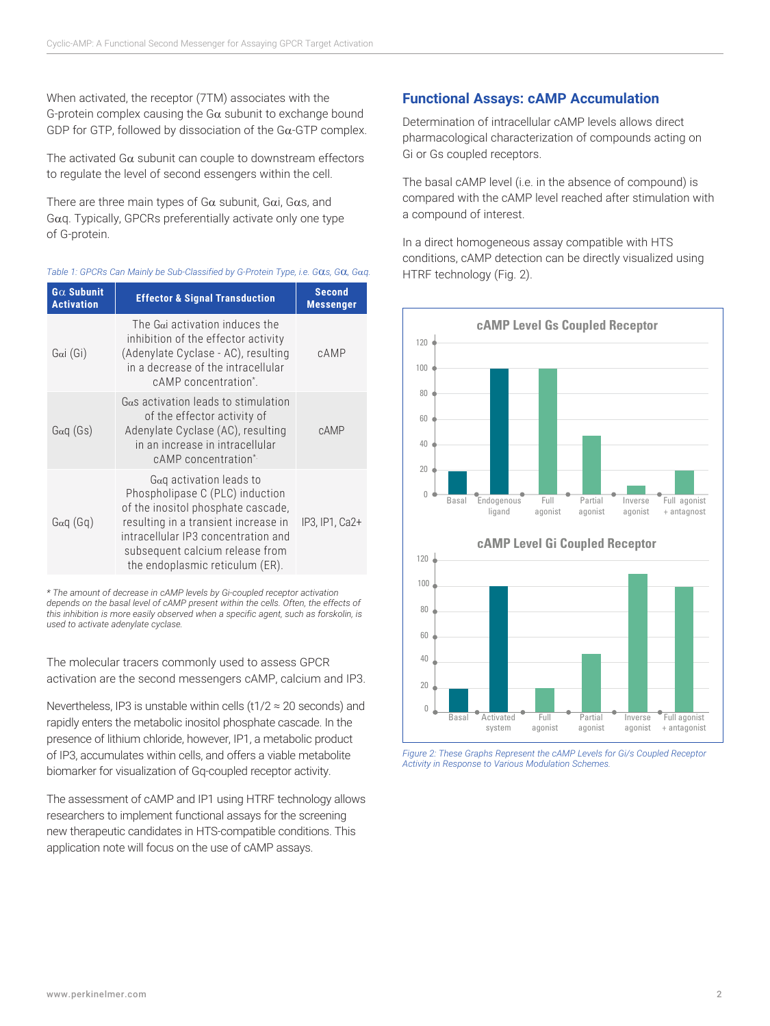When activated, the receptor (7TM) associates with the G-protein complex causing the G $\alpha$  subunit to exchange bound GDP for GTP, followed by dissociation of the  $Ga$ -GTP complex.

The activated G $\alpha$  subunit can couple to downstream effectors to regulate the level of second essengers within the cell.

There are three main types of  $G\alpha$  subunit,  $G\alpha i$ ,  $G\alpha s$ , and  $G\alpha q$ . Typically, GPCRs preferentially activate only one type of G-protein.

|  |  |  |  | Table 1: GPCRs Can Mainly be Sub-Classified by G-Protein Type, i.e. G $\alpha$ s, G $\alpha$ , G $\alpha$ g. |  |  |  |
|--|--|--|--|--------------------------------------------------------------------------------------------------------------|--|--|--|
|  |  |  |  |                                                                                                              |  |  |  |

| $G\alpha$ Subunit<br><b>Activation</b> | <b>Effector &amp; Signal Transduction</b>                                                                                                                                                                                                               | <b>Second</b><br><b>Messenger</b> |
|----------------------------------------|---------------------------------------------------------------------------------------------------------------------------------------------------------------------------------------------------------------------------------------------------------|-----------------------------------|
| Gai(Gi)                                | The G $\alpha$ activation induces the<br>inhibition of the effector activity<br>(Adenylate Cyclase - AC), resulting<br>in a decrease of the intracellular<br>cAMP concentration <sup>*</sup> .                                                          | cAMP                              |
| Gaq(Gs)                                | $G\alpha s$ activation leads to stimulation<br>of the effector activity of<br>Adenylate Cyclase (AC), resulting<br>in an increase in intracellular<br>cAMP concentration*                                                                               | cAMP                              |
| Gaq(Gq)                                | $Gaq$ activation leads to<br>Phospholipase C (PLC) induction<br>of the inositol phosphate cascade,<br>resulting in a transient increase in<br>intracellular IP3 concentration and<br>subsequent calcium release from<br>the endoplasmic reticulum (ER). | IP3, IP1, Ca2+                    |

*\* The amount of decrease in cAMP levels by Gi-coupled receptor activation depends on the basal level of cAMP present within the cells. Often, the effects of this inhibition is more easily observed when a specific agent, such as forskolin, is used to activate adenylate cyclase.* 

The molecular tracers commonly used to assess GPCR activation are the second messengers cAMP, calcium and IP3.

Nevertheless, IP3 is unstable within cells (t1/2  $\approx$  20 seconds) and rapidly enters the metabolic inositol phosphate cascade. In the presence of lithium chloride, however, IP1, a metabolic product of IP3, accumulates within cells, and offers a viable metabolite biomarker for visualization of Gq-coupled receptor activity.

The assessment of cAMP and IP1 using HTRF technology allows researchers to implement functional assays for the screening new therapeutic candidates in HTS-compatible conditions. This application note will focus on the use of cAMP assays.

## **Functional Assays: cAMP Accumulation**

Determination of intracellular cAMP levels allows direct pharmacological characterization of compounds acting on Gi or Gs coupled receptors.

The basal cAMP level (i.e. in the absence of compound) is compared with the cAMP level reached after stimulation with a compound of interest.

In a direct homogeneous assay compatible with HTS conditions, cAMP detection can be directly visualized using HTRF technology (Fig. 2).



*Figure 2: These Graphs Represent the cAMP Levels for Gi/s Coupled Receptor Activity in Response to Various Modulation Schemes.*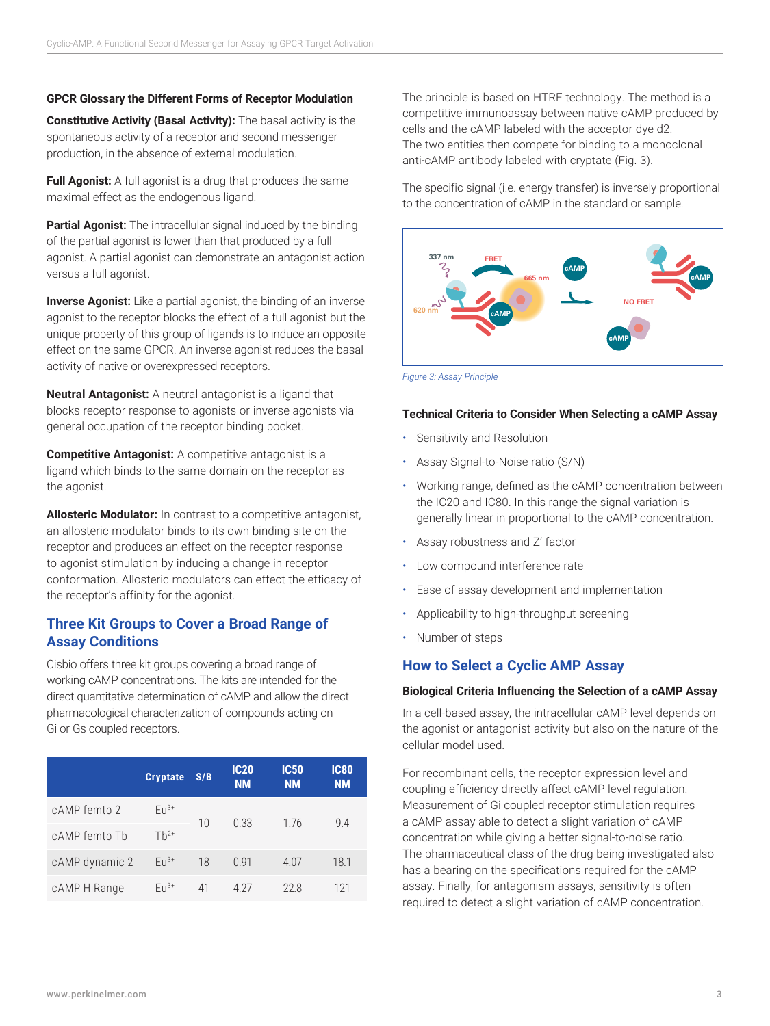#### **GPCR Glossary the Different Forms of Receptor Modulation**

**Constitutive Activity (Basal Activity):** The basal activity is the spontaneous activity of a receptor and second messenger production, in the absence of external modulation.

**Full Agonist:** A full agonist is a drug that produces the same maximal effect as the endogenous ligand.

**Partial Agonist:** The intracellular signal induced by the binding of the partial agonist is lower than that produced by a full agonist. A partial agonist can demonstrate an antagonist action versus a full agonist.

**Inverse Agonist:** Like a partial agonist, the binding of an inverse agonist to the receptor blocks the effect of a full agonist but the unique property of this group of ligands is to induce an opposite effect on the same GPCR. An inverse agonist reduces the basal activity of native or overexpressed receptors.

**Neutral Antagonist:** A neutral antagonist is a ligand that blocks receptor response to agonists or inverse agonists via general occupation of the receptor binding pocket.

**Competitive Antagonist:** A competitive antagonist is a ligand which binds to the same domain on the receptor as the agonist.

**Allosteric Modulator:** In contrast to a competitive antagonist, an allosteric modulator binds to its own binding site on the receptor and produces an effect on the receptor response to agonist stimulation by inducing a change in receptor conformation. Allosteric modulators can effect the efficacy of the receptor's affinity for the agonist.

### **Three Kit Groups to Cover a Broad Range of Assay Conditions**

Cisbio offers three kit groups covering a broad range of working cAMP concentrations. The kits are intended for the direct quantitative determination of cAMP and allow the direct pharmacological characterization of compounds acting on Gi or Gs coupled receptors.

|                | <b>Cryptate</b> | S/B | <b>IC20</b><br><b>NM</b> | <b>IC50</b><br><b>NM</b> | <b>IC80</b><br><b>NM</b> |  |
|----------------|-----------------|-----|--------------------------|--------------------------|--------------------------|--|
| cAMP femto 2   | $Eu^{3+}$<br>10 |     | 0.33                     | 1.76                     | 9.4                      |  |
| cAMP femto Tb  | $Th^{2+}$       |     |                          |                          |                          |  |
| cAMP dynamic 2 | $F11^{3+}$      | 18  | 0.91                     | 4.07                     | 18.1                     |  |
| cAMP HiRange   | $FII^{3+}$      | 41  | 4 2 7                    | 22.8                     | 121                      |  |

The principle is based on HTRF technology. The method is a competitive immunoassay between native cAMP produced by cells and the cAMP labeled with the acceptor dye d2. The two entities then compete for binding to a monoclonal anti-cAMP antibody labeled with cryptate (Fig. 3).

The specific signal (i.e. energy transfer) is inversely proportional to the concentration of cAMP in the standard or sample.



*Figure 3: Assay Principle*

#### **Technical Criteria to Consider When Selecting a cAMP Assay**

- Sensitivity and Resolution
- Assay Signal-to-Noise ratio (S/N)
- Working range, defined as the cAMP concentration between the IC20 and IC80. In this range the signal variation is generally linear in proportional to the cAMP concentration.
- Assay robustness and Z' factor
- Low compound interference rate
- Ease of assay development and implementation
- Applicability to high-throughput screening
- Number of steps

#### **How to Select a Cyclic AMP Assay**

#### **Biological Criteria Influencing the Selection of a cAMP Assay**

In a cell-based assay, the intracellular cAMP level depends on the agonist or antagonist activity but also on the nature of the cellular model used.

For recombinant cells, the receptor expression level and coupling efficiency directly affect cAMP level regulation. Measurement of Gi coupled receptor stimulation requires a cAMP assay able to detect a slight variation of cAMP concentration while giving a better signal-to-noise ratio. The pharmaceutical class of the drug being investigated also has a bearing on the specifications required for the cAMP assay. Finally, for antagonism assays, sensitivity is often required to detect a slight variation of cAMP concentration.